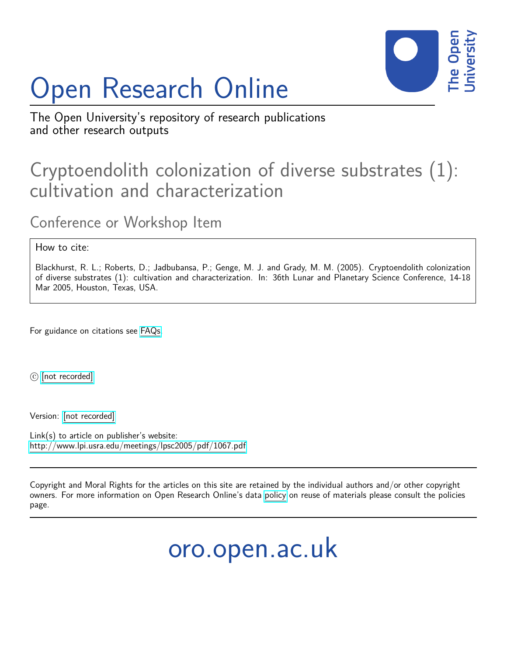

## Open Research Online

The Open University's repository of research publications and other research outputs

## Cryptoendolith colonization of diverse substrates (1): cultivation and characterization

Conference or Workshop Item

How to cite:

Blackhurst, R. L.; Roberts, D.; Jadbubansa, P.; Genge, M. J. and Grady, M. M. (2005). Cryptoendolith colonization of diverse substrates (1): cultivation and characterization. In: 36th Lunar and Planetary Science Conference, 14-18 Mar 2005, Houston, Texas, USA.

For guidance on citations see [FAQs.](http://oro.open.ac.uk/help/helpfaq.html)

c [\[not recorded\]](http://oro.open.ac.uk/help/helpfaq.html#Unrecorded_information_on_coversheet)

Version: [\[not recorded\]](http://oro.open.ac.uk/help/helpfaq.html#Unrecorded_information_on_coversheet)

Link(s) to article on publisher's website: <http://www.lpi.usra.edu/meetings/lpsc2005/pdf/1067.pdf>

Copyright and Moral Rights for the articles on this site are retained by the individual authors and/or other copyright owners. For more information on Open Research Online's data [policy](http://oro.open.ac.uk/policies.html) on reuse of materials please consult the policies page.

oro.open.ac.uk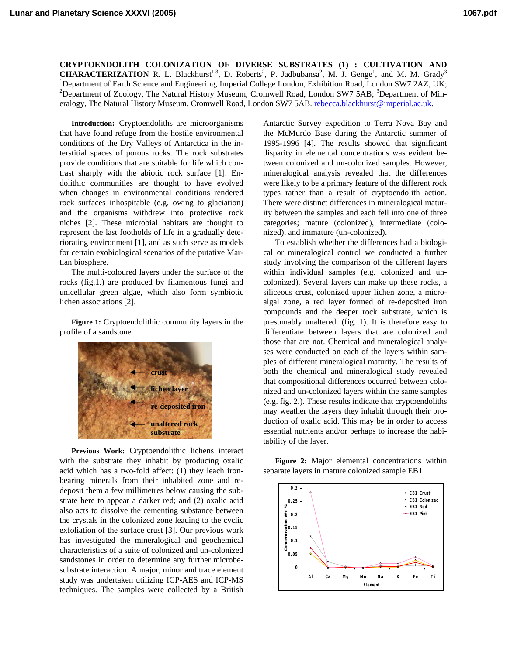**CRYPTOENDOLITH COLONIZATION OF DIVERSE SUBSTRATES (1) : CULTIVATION AND CHARACTERIZATION** R. L. Blackhurst<sup>1,3</sup>, D. Roberts<sup>2</sup>, P. Jadbubansa<sup>2</sup>, M. J. Genge<sup>1</sup>, and M. M. Grady<sup>3</sup> <sup>1</sup>Department of Earth Science and Engineering, Imperial College London, Exhibition Road, London SW7 2AZ, UK;<br><sup>2</sup>Department of Zoology, The Natural History Museum, Cromyvall Boad, London SW7 5A B; <sup>3</sup>Department of Min Department of Zoology, The Natural History Museum, Cromwell Road, London SW7 5AB; <sup>3</sup>Department of Mineralogy, The Natural History Museum, Cromwell Road, London SW7 5AB. [rebecca.blackhurst@imperial.ac.uk](mailto:rebecca.blackhurst@imperial.ac.uk).

**Introduction:** Cryptoendoliths are microorganisms that have found refuge from the hostile environmental conditions of the Dry Valleys of Antarctica in the interstitial spaces of porous rocks. The rock substrates provide conditions that are suitable for life which contrast sharply with the abiotic rock surface [1]. Endolithic communities are thought to have evolved when changes in environmental conditions rendered rock surfaces inhospitable (e.g. owing to glaciation) and the organisms withdrew into protective rock niches [2]. These microbial habitats are thought to represent the last footholds of life in a gradually deteriorating environment [1], and as such serve as models for certain exobiological scenarios of the putative Martian biosphere.

The multi-coloured layers under the surface of the rocks (fig.1.) are produced by filamentous fungi and unicellular green algae, which also form symbiotic lichen associations [2].

**Figure 1:** Cryptoendolithic community layers in the profile of a sandstone



**Previous Work:** Cryptoendolithic lichens interact with the substrate they inhabit by producing oxalic acid which has a two-fold affect: (1) they leach ironbearing minerals from their inhabited zone and redeposit them a few millimetres below causing the substrate here to appear a darker red; and (2) oxalic acid also acts to dissolve the cementing substance between the crystals in the colonized zone leading to the cyclic exfoliation of the surface crust [3]. Our previous work has investigated the mineralogical and geochemical characteristics of a suite of colonized and un-colonized sandstones in order to determine any further microbesubstrate interaction. A major, minor and trace element study was undertaken utilizing ICP-AES and ICP-MS techniques. The samples were collected by a British

Antarctic Survey expedition to Terra Nova Bay and the McMurdo Base during the Antarctic summer of 1995-1996 [4]. The results showed that significant disparity in elemental concentrations was evident between colonized and un-colonized samples. However, mineralogical analysis revealed that the differences were likely to be a primary feature of the different rock types rather than a result of cryptoendolith action. There were distinct differences in mineralogical maturity between the samples and each fell into one of three categories; mature (colonized), intermediate (colonized), and immature (un-colonized).

To establish whether the differences had a biological or mineralogical control we conducted a further study involving the comparison of the different layers within individual samples (e.g. colonized and uncolonized). Several layers can make up these rocks, a siliceous crust, colonized upper lichen zone, a microalgal zone, a red layer formed of re-deposited iron compounds and the deeper rock substrate, which is presumably unaltered. (fig. 1). It is therefore easy to differentiate between layers that are colonized and those that are not. Chemical and mineralogical analyses were conducted on each of the layers within samples of different mineralogical maturity. The results of both the chemical and mineralogical study revealed that compositional differences occurred between colonized and un-colonized layers within the same samples (e.g. fig. 2.). These results indicate that cryptoendoliths may weather the layers they inhabit through their production of oxalic acid. This may be in order to access essential nutrients and/or perhaps to increase the habitability of the layer.

**Figure 2:** Major elemental concentrations within separate layers in mature colonized sample EB1